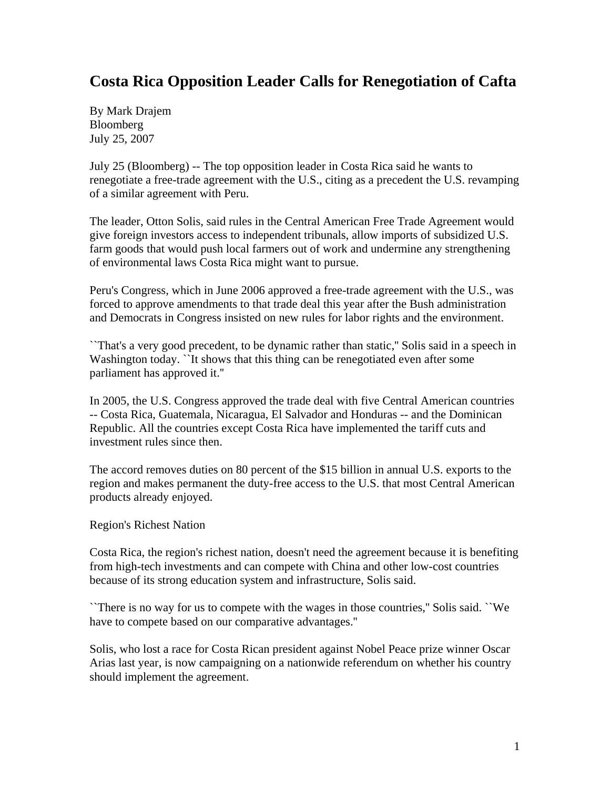## **Costa Rica Opposition Leader Calls for Renegotiation of Cafta**

By Mark Drajem Bloomberg July 25, 2007

July 25 (Bloomberg) -- The top opposition leader in Costa Rica said he wants to renegotiate a free-trade agreement with the U.S., citing as a precedent the U.S. revamping of a similar agreement with Peru.

The leader, Otton Solis, said rules in the Central American Free Trade Agreement would give foreign investors access to independent tribunals, allow imports of subsidized U.S. farm goods that would push local farmers out of work and undermine any strengthening of environmental laws Costa Rica might want to pursue.

Peru's Congress, which in June 2006 approved a free-trade agreement with the U.S., was forced to approve amendments to that trade deal this year after the Bush administration and Democrats in Congress insisted on new rules for labor rights and the environment.

``That's a very good precedent, to be dynamic rather than static,'' Solis said in a speech in Washington today. The shows that this thing can be renegotiated even after some parliament has approved it.''

In 2005, the U.S. Congress approved the trade deal with five Central American countries -- Costa Rica, Guatemala, Nicaragua, El Salvador and Honduras -- and the Dominican Republic. All the countries except Costa Rica have implemented the tariff cuts and investment rules since then.

The accord removes duties on 80 percent of the \$15 billion in annual U.S. exports to the region and makes permanent the duty-free access to the U.S. that most Central American products already enjoyed.

Region's Richest Nation

Costa Rica, the region's richest nation, doesn't need the agreement because it is benefiting from high-tech investments and can compete with China and other low-cost countries because of its strong education system and infrastructure, Solis said.

``There is no way for us to compete with the wages in those countries,'' Solis said. ``We have to compete based on our comparative advantages.''

Solis, who lost a race for Costa Rican president against Nobel Peace prize winner Oscar Arias last year, is now campaigning on a nationwide referendum on whether his country should implement the agreement.